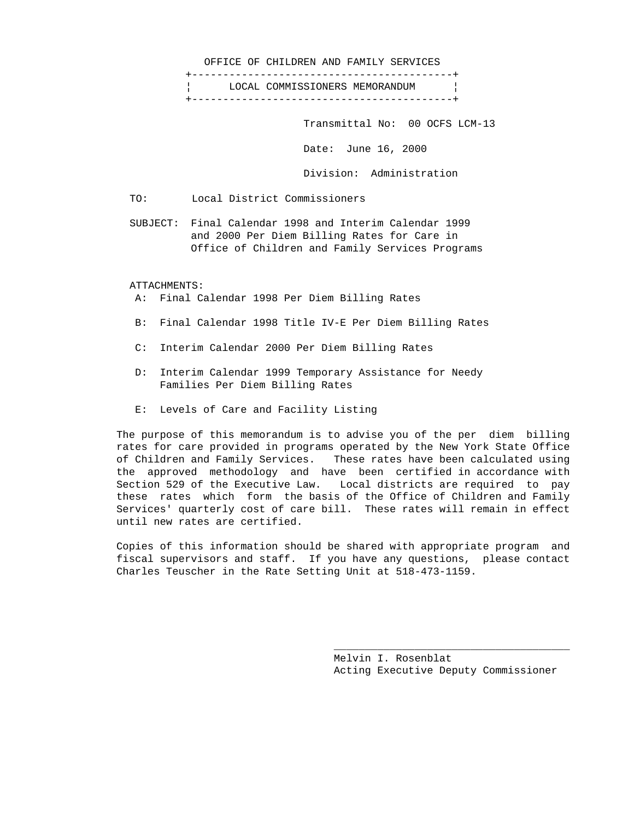#### OFFICE OF CHILDREN AND FAMILY SERVICES

 +------------------------------------------+ LOCAL COMMISSIONERS MEMORANDUM | +------------------------------------------+

Transmittal No: 00 OCFS LCM-13

Date: June 16, 2000

Division: Administration

TO: Local District Commissioners

 SUBJECT: Final Calendar 1998 and Interim Calendar 1999 and 2000 Per Diem Billing Rates for Care in Office of Children and Family Services Programs

### ATTACHMENTS:

A: Final Calendar 1998 Per Diem Billing Rates

- B: Final Calendar 1998 Title IV-E Per Diem Billing Rates
- C: Interim Calendar 2000 Per Diem Billing Rates
- D: Interim Calendar 1999 Temporary Assistance for Needy Families Per Diem Billing Rates
- E: Levels of Care and Facility Listing

 The purpose of this memorandum is to advise you of the per diem billing rates for care provided in programs operated by the New York State Office of Children and Family Services. These rates have been calculated using the approved methodology and have been certified in accordance with Section 529 of the Executive Law. Local districts are required to pay these rates which form the basis of the Office of Children and Family Services' quarterly cost of care bill. These rates will remain in effect until new rates are certified.

 Copies of this information should be shared with appropriate program and fiscal supervisors and staff. If you have any questions, please contact Charles Teuscher in the Rate Setting Unit at 518-473-1159.

 $\overline{\phantom{a}}$  , and the state of the state of the state of the state of the state of the state of the state of the state of the state of the state of the state of the state of the state of the state of the state of the stat

 Melvin I. Rosenblat Acting Executive Deputy Commissioner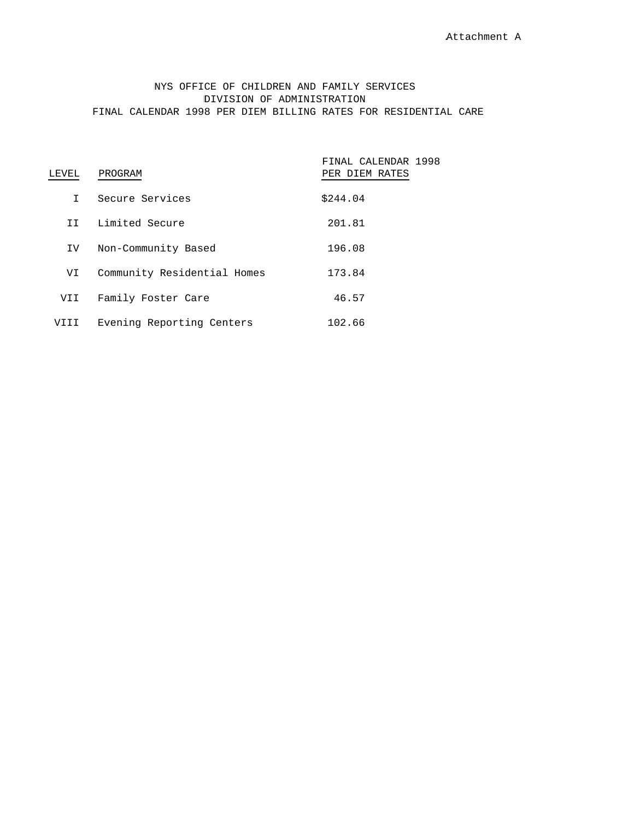# NYS OFFICE OF CHILDREN AND FAMILY SERVICES DIVISION OF ADMINISTRATION FINAL CALENDAR 1998 PER DIEM BILLING RATES FOR RESIDENTIAL CARE

| LEVEL | PROGRAM                     | FINAL CALENDAR 1998<br>PER DIEM RATES |
|-------|-----------------------------|---------------------------------------|
| T.    | Secure Services             | \$244.04                              |
| T T   | Limited Secure              | 201.81                                |
| IV.   | Non-Community Based         | 196.08                                |
| VI    | Community Residential Homes | 173.84                                |
| VII   | Family Foster Care          | 46.57                                 |
|       | Evening Reporting Centers   | 102.66                                |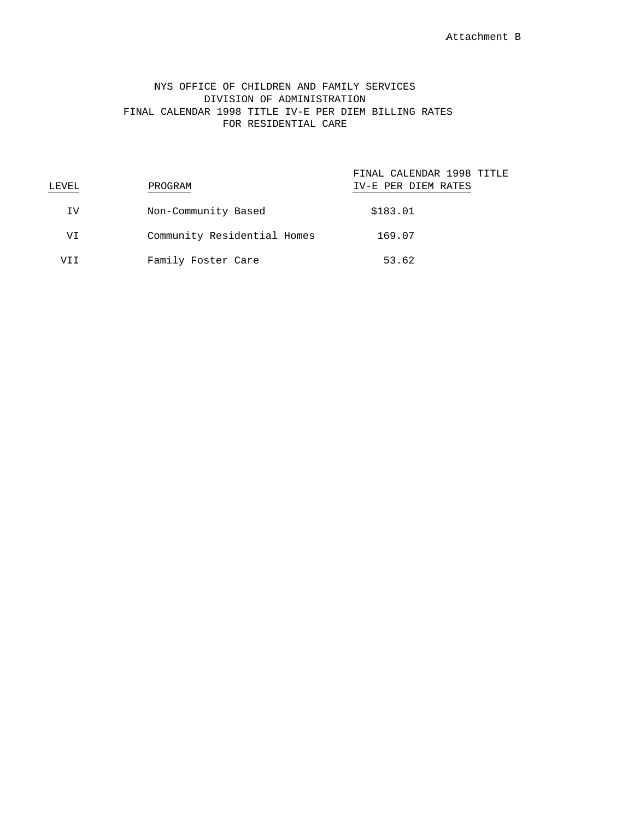# NYS OFFICE OF CHILDREN AND FAMILY SERVICES DIVISION OF ADMINISTRATION FINAL CALENDAR 1998 TITLE IV-E PER DIEM BILLING RATES FOR RESIDENTIAL CARE

| LEVEL | PROGRAM                     | FINAL CALENDAR 1998 TITLE<br>IV-E PER DIEM RATES |
|-------|-----------------------------|--------------------------------------------------|
| IV    | Non-Community Based         | \$183.01                                         |
| VI    | Community Residential Homes | 169.07                                           |
| VT T  | Family Foster Care          | 53.62                                            |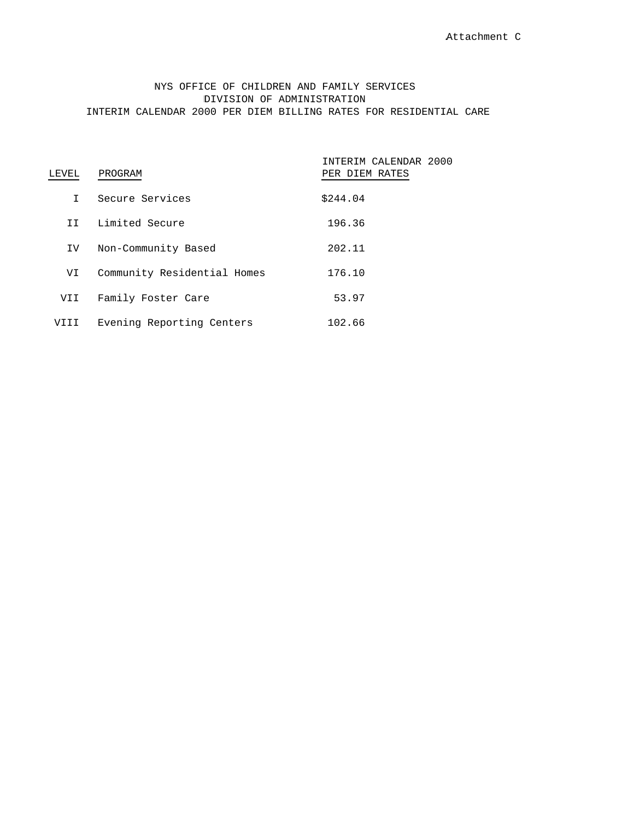# NYS OFFICE OF CHILDREN AND FAMILY SERVICES DIVISION OF ADMINISTRATION INTERIM CALENDAR 2000 PER DIEM BILLING RATES FOR RESIDENTIAL CARE

| LEVEL | PROGRAM                     | INTERIM CALENDAR 2000<br>PER DIEM RATES |  |
|-------|-----------------------------|-----------------------------------------|--|
| T     | Secure Services             | \$244.04                                |  |
| T T   | Limited Secure              | 196.36                                  |  |
| IV.   | Non-Community Based         | 202.11                                  |  |
| VI    | Community Residential Homes | 176.10                                  |  |
| VII   | Family Foster Care          | 53.97                                   |  |
|       | Evening Reporting Centers   | 102.66                                  |  |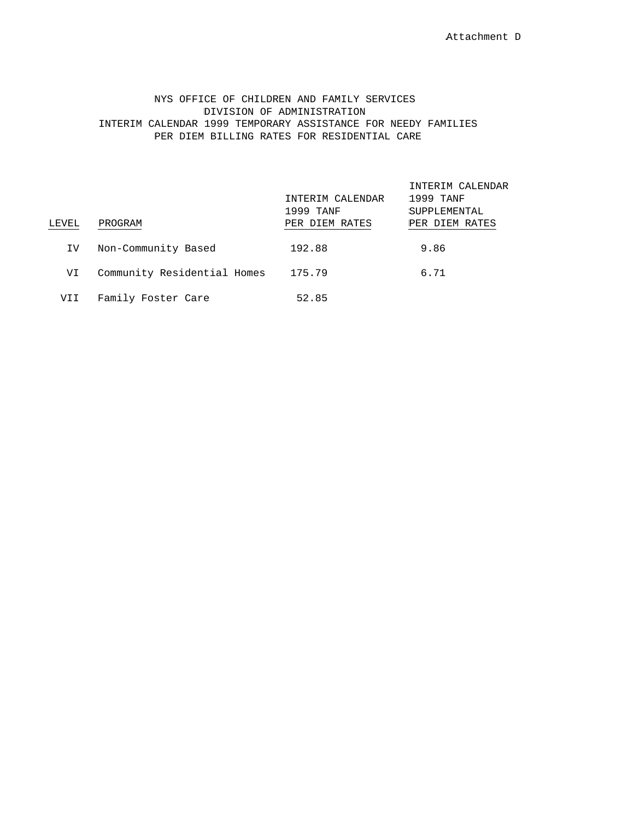## NYS OFFICE OF CHILDREN AND FAMILY SERVICES DIVISION OF ADMINISTRATION INTERIM CALENDAR 1999 TEMPORARY ASSISTANCE FOR NEEDY FAMILIES PER DIEM BILLING RATES FOR RESIDENTIAL CARE

| LEVEL | PROGRAM                     | INTERIM CALENDAR<br>1999 TANF<br>PER DIEM RATES | INTERIM CALENDAR<br>1999 TANF<br>SUPPLEMENTAL<br>PER DIEM RATES |
|-------|-----------------------------|-------------------------------------------------|-----------------------------------------------------------------|
| IV    | Non-Community Based         | 192.88                                          | 9.86                                                            |
| VI    | Community Residential Homes | 175.79                                          | 6.71                                                            |
| VII   | Family Foster Care          | 52.85                                           |                                                                 |